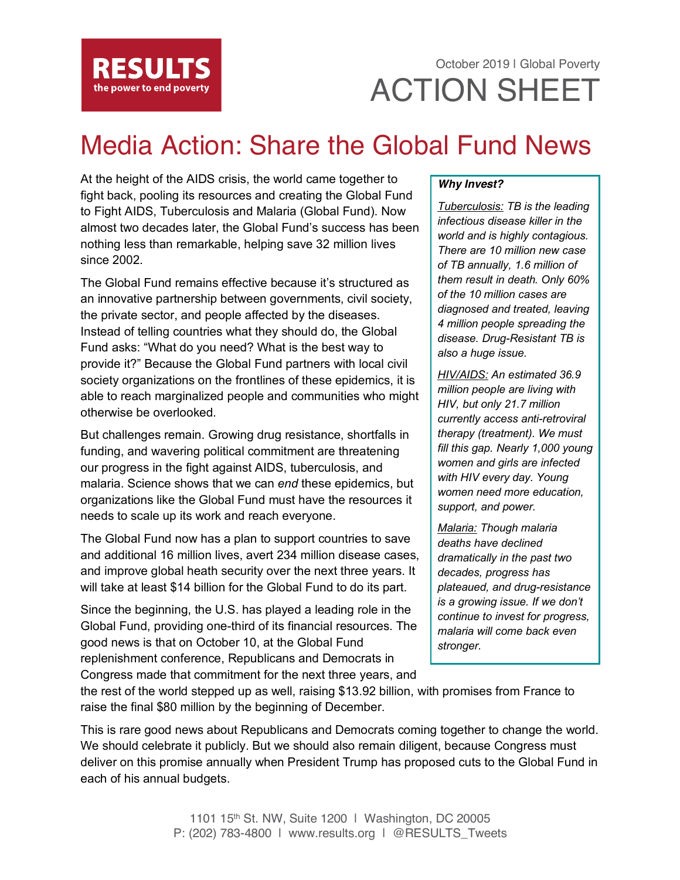

## October 2019 | Global Poverty ACTION SHEET

## Media Action: Share the Global Fund News

At the height of the AIDS crisis, the world came together to fight back, pooling its resources and creating the Global Fund to Fight AIDS, Tuberculosis and Malaria (Global Fund). Now almost two decades later, the Global Fund's success has been nothing less than remarkable, helping save 32 million lives since 2002.

The Global Fund remains effective because it's structured as an innovative partnership between governments, civil society, the private sector, and people affected by the diseases. Instead of telling countries what they should do, the Global Fund asks: "What do you need? What is the best way to provide it?" Because the Global Fund partners with local civil society organizations on the frontlines of these epidemics, it is able to reach marginalized people and communities who might otherwise be overlooked.

But challenges remain. Growing drug resistance, shortfalls in funding, and wavering political commitment are threatening our progress in the fight against AIDS, tuberculosis, and malaria. Science shows that we can *end* these epidemics, but organizations like the Global Fund must have the resources it needs to scale up its work and reach everyone.

The Global Fund now has a plan to support countries to save and additional 16 million lives, avert 234 million disease cases, and improve global heath security over the next three years. It will take at least \$14 billion for the Global Fund to do its part.

Since the beginning, the U.S. has played a leading role in the Global Fund, providing one-third of its financial resources. The good news is that on October 10, at the Global Fund replenishment conference, Republicans and Democrats in Congress made that commitment for the next three years, and

#### *Why Invest?*

*Tuberculosis: TB is the leading infectious disease killer in the world and is highly contagious. There are 10 million new case of TB annually, 1.6 million of them result in death. Only 60% of the 10 million cases are diagnosed and treated, leaving 4 million people spreading the disease. Drug-Resistant TB is also a huge issue.* 

*HIV/AIDS: An estimated 36.9 million people are living with HIV, but only 21.7 million currently access anti-retroviral therapy (treatment). We must fill this gap. Nearly 1,000 young women and girls are infected with HIV every day. Young women need more education, support, and power.*

*Malaria: Though malaria deaths have declined dramatically in the past two decades, progress has plateaued, and drug-resistance is a growing issue. If we don't continue to invest for progress, malaria will come back even stronger.*

the rest of the world stepped up as well, raising \$13.92 billion, with promises from France to raise the final \$80 million by the beginning of December.

This is rare good news about Republicans and Democrats coming together to change the world. We should celebrate it publicly. But we should also remain diligent, because Congress must deliver on this promise annually when President Trump has proposed cuts to the Global Fund in each of his annual budgets.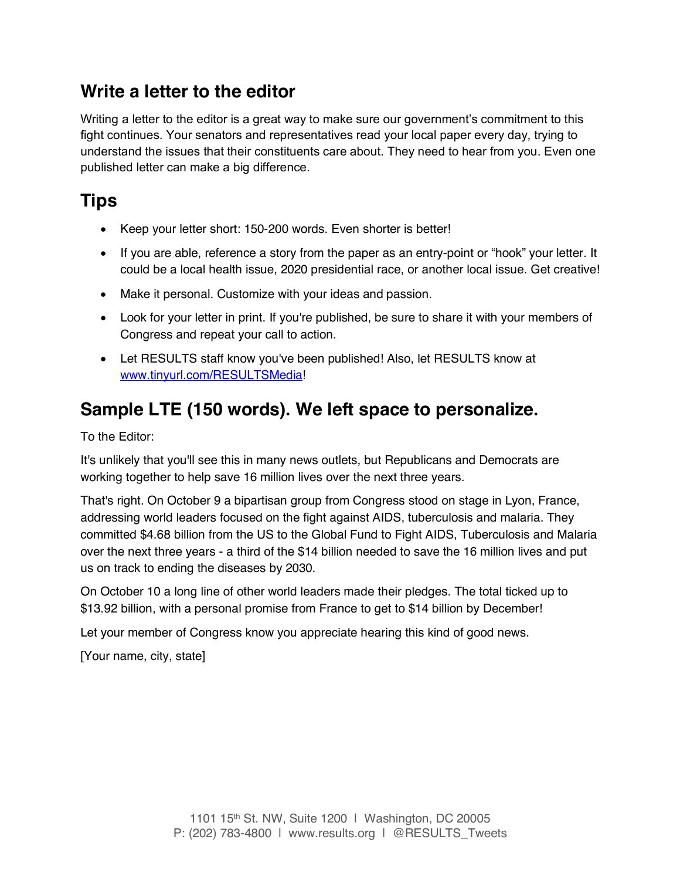### **Write a letter to the editor**

Writing a letter to the editor is a great way to make sure our government's commitment to this fight continues. Your senators and representatives read your local paper every day, trying to understand the issues that their constituents care about. They need to hear from you. Even one published letter can make a big difference.

### **Tips**

- Keep your letter short: 150-200 words. Even shorter is better!
- If you are able, reference a story from the paper as an entry-point or "hook" your letter. It could be a local health issue, 2020 presidential race, or another local issue. Get creative!
- Make it personal. Customize with your ideas and passion.
- Look for your letter in print. If you're published, be sure to share it with your members of Congress and repeat your call to action.
- Let RESULTS staff know you've been published! Also, let RESULTS know at www.tinyurl.com/RESULTSMedia!

### **Sample LTE (150 words). We left space to personalize.**

To the Editor:

It's unlikely that you'll see this in many news outlets, but Republicans and Democrats are working together to help save 16 million lives over the next three years.

That's right. On October 9 a bipartisan group from Congress stood on stage in Lyon, France, addressing world leaders focused on the fight against AIDS, tuberculosis and malaria. They committed \$4.68 billion from the US to the Global Fund to Fight AIDS, Tuberculosis and Malaria over the next three years - a third of the \$14 billion needed to save the 16 million lives and put us on track to ending the diseases by 2030.

On October 10 a long line of other world leaders made their pledges. The total ticked up to \$13.92 billion, with a personal promise from France to get to \$14 billion by December!

Let your member of Congress know you appreciate hearing this kind of good news.

[Your name, city, state]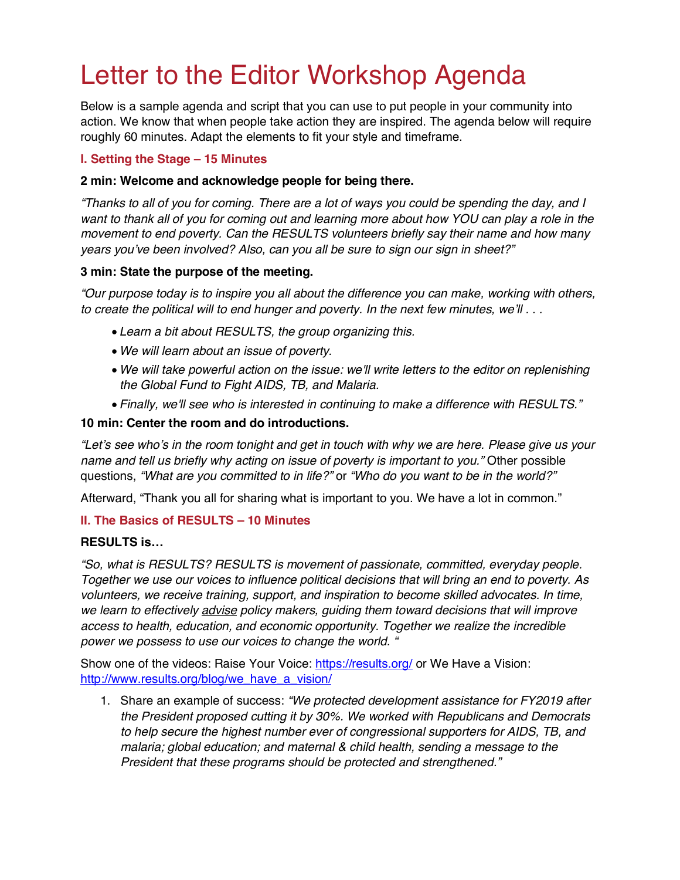# Letter to the Editor Workshop Agenda

Below is a sample agenda and script that you can use to put people in your community into action. We know that when people take action they are inspired. The agenda below will require roughly 60 minutes. Adapt the elements to fit your style and timeframe.

#### **I. Setting the Stage – 15 Minutes**

#### **2 min: Welcome and acknowledge people for being there.**

*"Thanks to all of you for coming. There are a lot of ways you could be spending the day, and I want to thank all of you for coming out and learning more about how YOU can play a role in the movement to end poverty. Can the RESULTS volunteers briefly say their name and how many years you've been involved? Also, can you all be sure to sign our sign in sheet?"*

#### **3 min: State the purpose of the meeting.**

*"Our purpose today is to inspire you all about the difference you can make, working with others, to create the political will to end hunger and poverty. In the next few minutes, we'll . . .* 

- *Learn a bit about RESULTS, the group organizing this.*
- *We will learn about an issue of poverty.*
- We will take powerful action on the issue: we'll write letters to the editor on replenishing *the Global Fund to Fight AIDS, TB, and Malaria.*
- *Finally, we'll see who is interested in continuing to make a difference with RESULTS."*

#### **10 min: Center the room and do introductions.**

*"Let's see who's in the room tonight and get in touch with why we are here. Please give us your name and tell us briefly why acting on issue of poverty is important to you."* Other possible questions, *"What are you committed to in life?"* or *"Who do you want to be in the world?"*

Afterward, "Thank you all for sharing what is important to you. We have a lot in common."

#### **II. The Basics of RESULTS – 10 Minutes**

#### **RESULTS is…**

*"So, what is RESULTS? RESULTS is movement of passionate, committed, everyday people. Together we use our voices to influence political decisions that will bring an end to poverty. As volunteers, we receive training, support, and inspiration to become skilled advocates. In time, we learn to effectively advise policy makers, guiding them toward decisions that will improve access to health, education, and economic opportunity. Together we realize the incredible power we possess to use our voices to change the world. "*

Show one of the videos: Raise Your Voice: https://results.org/ or We Have a Vision: http://www.results.org/blog/we\_have\_a\_vision/

1. Share an example of success: *"We protected development assistance for FY2019 after the President proposed cutting it by 30%. We worked with Republicans and Democrats to help secure the highest number ever of congressional supporters for AIDS, TB, and malaria; global education; and maternal & child health, sending a message to the President that these programs should be protected and strengthened."*